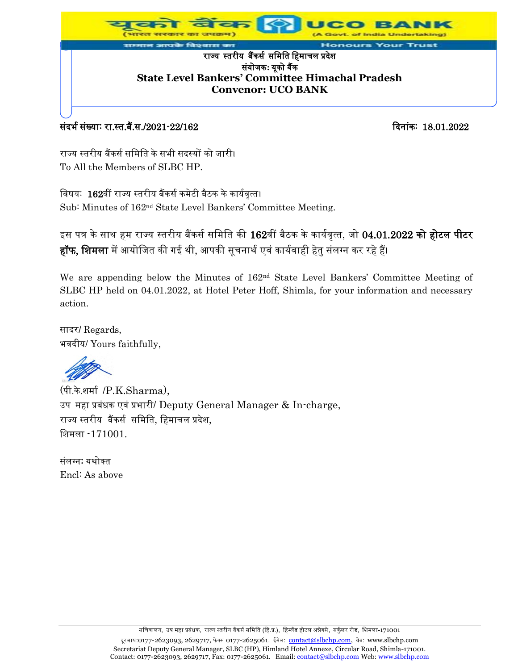

### र्संदर्भ संख्याः रा.स्त.बैं.स./2021-22/162 दिनांकः 18.01.2022

राज्य स्तरीय बैंकर्स समिति के सभी सदस्यों को जारी। To All the Members of SLBC HP.

विषय: 162वीं राज्य स्तरीय बैंकर्स कमेटी बैठक के कार्यवृत्त। Sub: Minutes of 162<sup>nd</sup> State Level Bankers' Committee Meeting.

इस पत्र के साथ हम राज्य स्तरीय बैंकर्स समिति की 162वीं बैठक के कार्यवृत्त, जो 04.01.2022 <mark>को होटल पीटर</mark> <mark>हॉफ, शिमला</mark> में आयोजित की गई थी, आपकी सूचनार्थ एवं कार्यवाही हेतु संलग्न कर रहे हैं।

We are appending below the Minutes of 162<sup>nd</sup> State Level Bankers' Committee Meeting of SLBC HP held on 04.01.2022, at Hotel Peter Hoff, Shimla, for your information and necessary action.

सादर/ Regards, भवदीय/ Yours faithfully,

(पी.के.शिास /P.K.Sharma), उप महा प्रबंधक एवं प्रभारी/ Deputy General Manager & In-charge, राज्य स्तरीय बैंकर्स र्मिमत, मििाचल प्रदेश, मशिला -171001.

संलग्न: यथोक्त Encl: As above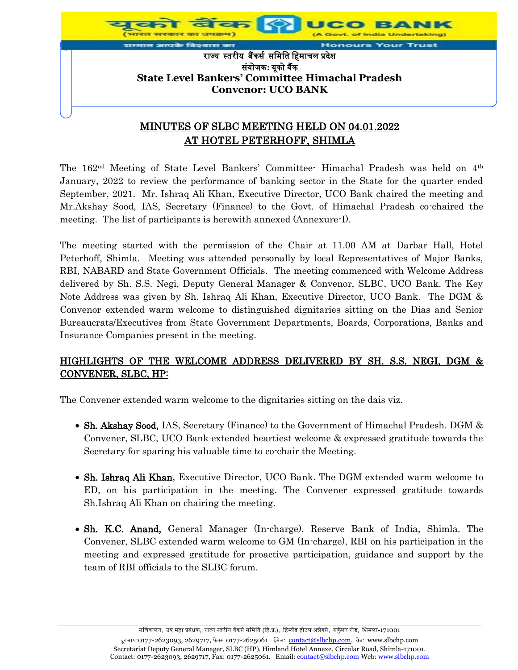

## MINUTES OF SLBC MEETING HELD ON 04.01.2022 AT HOTEL PETERHOFF, SHIMLA

The 162<sup>nd</sup> Meeting of State Level Bankers' Committee Himachal Pradesh was held on 4<sup>th</sup> January, 2022 to review the performance of banking sector in the State for the quarter ended September, 2021. Mr. Ishraq Ali Khan, Executive Director, UCO Bank chaired the meeting and Mr.Akshay Sood, IAS, Secretary (Finance) to the Govt. of Himachal Pradesh co-chaired the meeting. The list of participants is herewith annexed (Annexure-I).

The meeting started with the permission of the Chair at 11.00 AM at Darbar Hall, Hotel Peterhoff, Shimla. Meeting was attended personally by local Representatives of Major Banks, RBI, NABARD and State Government Officials. The meeting commenced with Welcome Address delivered by Sh. S.S. Negi, Deputy General Manager & Convenor, SLBC, UCO Bank. The Key Note Address was given by Sh. Ishraq Ali Khan, Executive Director, UCO Bank. The DGM & Convenor extended warm welcome to distinguished dignitaries sitting on the Dias and Senior Bureaucrats/Executives from State Government Departments, Boards, Corporations, Banks and Insurance Companies present in the meeting.

## HIGHLIGHTS OF THE WELCOME ADDRESS DELIVERED BY SH. S.S. NEGI, DGM & CONVENER, SLBC, HP:

The Convener extended warm welcome to the dignitaries sitting on the dais viz.

- Sh. Akshay Sood, IAS, Secretary (Finance) to the Government of Himachal Pradesh. DGM & Convener, SLBC, UCO Bank extended heartiest welcome & expressed gratitude towards the Secretary for sparing his valuable time to co-chair the Meeting.
- Sh. Ishraq Ali Khan, Executive Director, UCO Bank. The DGM extended warm welcome to ED, on his participation in the meeting. The Convener expressed gratitude towards Sh.Ishraq Ali Khan on chairing the meeting.
- Sh. K.C. Anand, General Manager (In-charge), Reserve Bank of India, Shimla. The Convener, SLBC extended warm welcome to GM (In-charge), RBI on his participation in the meeting and expressed gratitude for proactive participation, guidance and support by the team of RBI officials to the SLBC forum.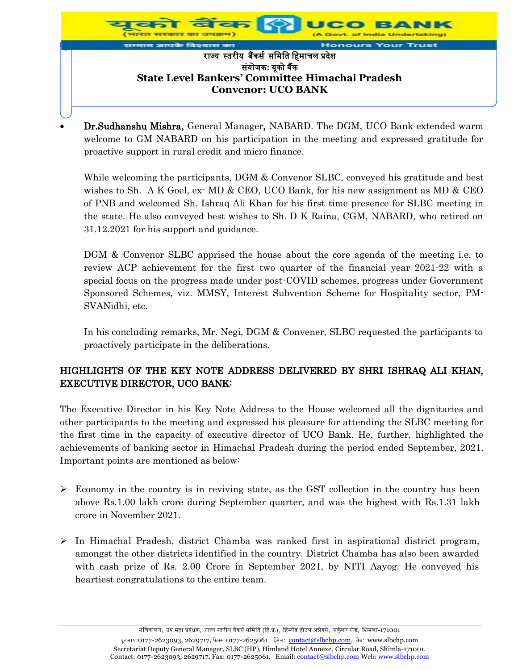

 Dr.Sudhanshu Mishra, General Manager, NABARD. The DGM, UCO Bank extended warm welcome to GM NABARD on his participation in the meeting and expressed gratitude for proactive support in rural credit and micro finance.

While welcoming the participants, DGM & Convenor SLBC, conveyed his gratitude and best wishes to Sh. A K Goel, ex- MD & CEO, UCO Bank, for his new assignment as MD & CEO of PNB and welcomed Sh. Ishraq Ali Khan for his first time presence for SLBC meeting in the state. He also conveyed best wishes to Sh. D K Raina, CGM, NABARD, who retired on 31.12.2021 for his support and guidance.

DGM & Convenor SLBC apprised the house about the core agenda of the meeting i.e. to review ACP achievement for the first two quarter of the financial year 2021-22 with a special focus on the progress made under post-COVID schemes, progress under Government Sponsored Schemes, viz. MMSY, Interest Subvention Scheme for Hospitality sector, PM-SVANidhi, etc.

In his concluding remarks, Mr. Negi, DGM & Convener, SLBC requested the participants to proactively participate in the deliberations.

## HIGHLIGHTS OF THE KEY NOTE ADDRESS DELIVERED BY SHRI ISHRAQ ALI KHAN, EXECUTIVE DIRECTOR, UCO BANK:

The Executive Director in his Key Note Address to the House welcomed all the dignitaries and other participants to the meeting and expressed his pleasure for attending the SLBC meeting for the first time in the capacity of executive director of UCO Bank. He, further, highlighted the achievements of banking sector in Himachal Pradesh during the period ended September, 2021. Important points are mentioned as below:

- $\triangleright$  Economy in the country is in reviving state, as the GST collection in the country has been above Rs.1.00 lakh crore during September quarter, and was the highest with Rs.1.31 lakh crore in November 2021.
- $\triangleright$  In Himachal Pradesh, district Chamba was ranked first in aspirational district program, amongst the other districts identified in the country. District Chamba has also been awarded with cash prize of Rs. 2.00 Crore in September 2021, by NITI Aayog. He conveyed his heartiest congratulations to the entire team.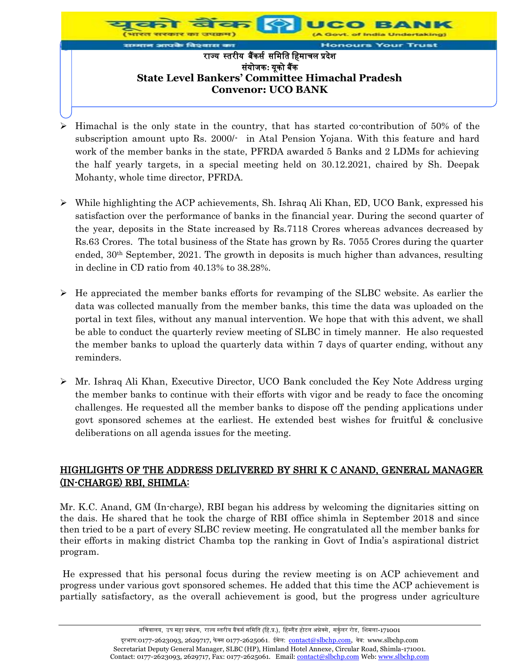

- $\triangleright$  Himachal is the only state in the country, that has started co-contribution of 50% of the subscription amount upto Rs. 2000/- in Atal Pension Yojana. With this feature and hard work of the member banks in the state, PFRDA awarded 5 Banks and 2 LDMs for achieving the half yearly targets, in a special meeting held on 30.12.2021, chaired by Sh. Deepak Mohanty, whole time director, PFRDA.
- $\triangleright$  While highlighting the ACP achievements, Sh. Ishraq Ali Khan, ED, UCO Bank, expressed his satisfaction over the performance of banks in the financial year. During the second quarter of the year, deposits in the State increased by Rs.7118 Crores whereas advances decreased by Rs.63 Crores. The total business of the State has grown by Rs. 7055 Crores during the quarter ended,  $30<sup>th</sup> September$ ,  $2021$ . The growth in deposits is much higher than advances, resulting in decline in CD ratio from 40.13% to 38.28%.
- $\triangleright$  He appreciated the member banks efforts for revamping of the SLBC website. As earlier the data was collected manually from the member banks, this time the data was uploaded on the portal in text files, without any manual intervention. We hope that with this advent, we shall be able to conduct the quarterly review meeting of SLBC in timely manner. He also requested the member banks to upload the quarterly data within 7 days of quarter ending, without any reminders.
- $\triangleright$  Mr. Ishraq Ali Khan, Executive Director, UCO Bank concluded the Key Note Address urging the member banks to continue with their efforts with vigor and be ready to face the oncoming challenges. He requested all the member banks to dispose off the pending applications under govt sponsored schemes at the earliest. He extended best wishes for fruitful & conclusive deliberations on all agenda issues for the meeting.

## HIGHLIGHTS OF THE ADDRESS DELIVERED BY SHRI K C ANAND, GENERAL MANAGER (IN-CHARGE) RBI, SHIMLA:

Mr. K.C. Anand, GM (In-charge), RBI began his address by welcoming the dignitaries sitting on the dais. He shared that he took the charge of RBI office shimla in September 2018 and since then tried to be a part of every SLBC review meeting. He congratulated all the member banks for their efforts in making district Chamba top the ranking in Govt of India's aspirational district program.

He expressed that his personal focus during the review meeting is on ACP achievement and progress under various govt sponsored schemes. He added that this time the ACP achievement is partially satisfactory, as the overall achievement is good, but the progress under agriculture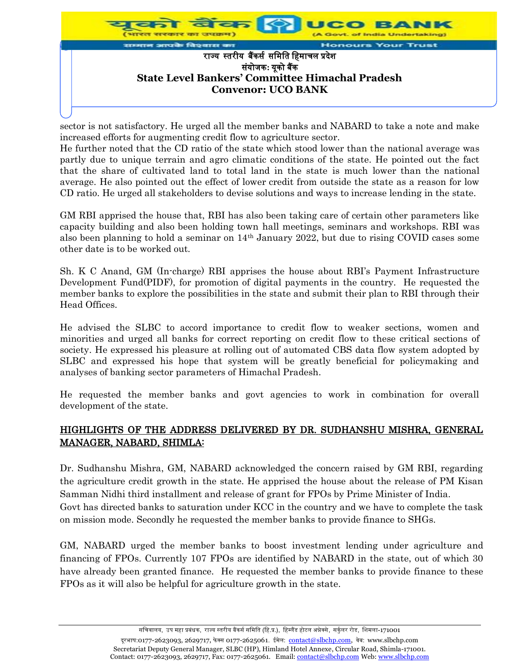

sector is not satisfactory. He urged all the member banks and NABARD to take a note and make increased efforts for augmenting credit flow to agriculture sector.

He further noted that the CD ratio of the state which stood lower than the national average was partly due to unique terrain and agro climatic conditions of the state. He pointed out the fact that the share of cultivated land to total land in the state is much lower than the national average. He also pointed out the effect of lower credit from outside the state as a reason for low CD ratio. He urged all stakeholders to devise solutions and ways to increase lending in the state.

GM RBI apprised the house that, RBI has also been taking care of certain other parameters like capacity building and also been holding town hall meetings, seminars and workshops. RBI was also been planning to hold a seminar on  $14<sup>th</sup>$  January 2022, but due to rising COVID cases some other date is to be worked out.

Sh. K C Anand, GM (In-charge) RBI apprises the house about RBI's Payment Infrastructure Development Fund(PIDF), for promotion of digital payments in the country. He requested the member banks to explore the possibilities in the state and submit their plan to RBI through their Head Offices.

He advised the SLBC to accord importance to credit flow to weaker sections, women and minorities and urged all banks for correct reporting on credit flow to these critical sections of society. He expressed his pleasure at rolling out of automated CBS data flow system adopted by SLBC and expressed his hope that system will be greatly beneficial for policymaking and analyses of banking sector parameters of Himachal Pradesh.

He requested the member banks and govt agencies to work in combination for overall development of the state.

### HIGHLIGHTS OF THE ADDRESS DELIVERED BY DR. SUDHANSHU MISHRA, GENERAL MANAGER, NABARD, SHIMLA:

Dr. Sudhanshu Mishra, GM, NABARD acknowledged the concern raised by GM RBI, regarding the agriculture credit growth in the state. He apprised the house about the release of PM Kisan Samman Nidhi third installment and release of grant for FPOs by Prime Minister of India. Govt has directed banks to saturation under KCC in the country and we have to complete the task on mission mode. Secondly he requested the member banks to provide finance to SHGs.

GM, NABARD urged the member banks to boost investment lending under agriculture and financing of FPOs. Currently 107 FPOs are identified by NABARD in the state, out of which 30 have already been granted finance. He requested the member banks to provide finance to these FPOs as it will also be helpful for agriculture growth in the state.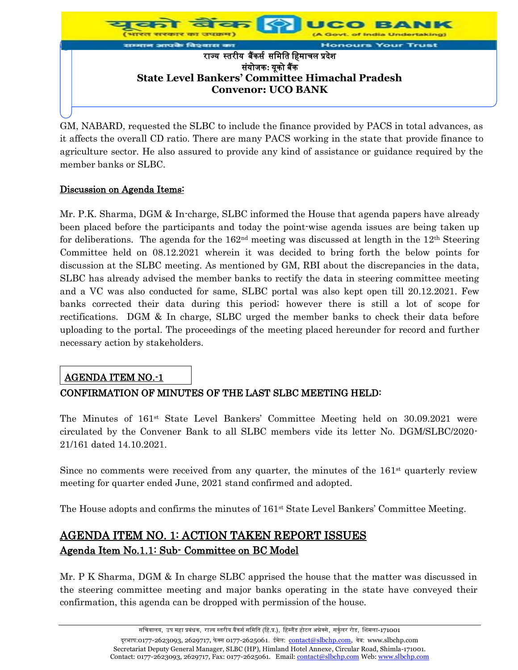

GM, NABARD, requested the SLBC to include the finance provided by PACS in total advances, as it affects the overall CD ratio. There are many PACS working in the state that provide finance to agriculture sector. He also assured to provide any kind of assistance or guidance required by the member banks or SLBC.

#### Discussion on Agenda Items:

Mr. P.K. Sharma, DGM & In-charge, SLBC informed the House that agenda papers have already been placed before the participants and today the point-wise agenda issues are being taken up for deliberations. The agenda for the  $162<sup>nd</sup>$  meeting was discussed at length in the  $12<sup>th</sup>$  Steering Committee held on 08.12.2021 wherein it was decided to bring forth the below points for discussion at the SLBC meeting. As mentioned by GM, RBI about the discrepancies in the data, SLBC has already advised the member banks to rectify the data in steering committee meeting and a VC was also conducted for same, SLBC portal was also kept open till 20.12.2021. Few banks corrected their data during this period; however there is still a lot of scope for rectifications. DGM & In charge, SLBC urged the member banks to check their data before uploading to the portal. The proceedings of the meeting placed hereunder for record and further necessary action by stakeholders.

## AGENDA ITEM NO.-1

## CONFIRMATION OF MINUTES OF THE LAST SLBC MEETING HELD:

The Minutes of 161<sup>st</sup> State Level Bankers' Committee Meeting held on 30.09.2021 were circulated by the Convener Bank to all SLBC members vide its letter No. DGM/SLBC/2020- 21/161 dated 14.10.2021.

Since no comments were received from any quarter, the minutes of the  $161<sup>st</sup>$  quarterly review meeting for quarter ended June, 2021 stand confirmed and adopted.

The House adopts and confirms the minutes of 161<sup>st</sup> State Level Bankers' Committee Meeting.

# AGENDA ITEM NO. 1: ACTION TAKEN REPORT ISSUES Agenda Item No.1.1: Sub- Committee on BC Model

Mr. P K Sharma, DGM & In charge SLBC apprised the house that the matter was discussed in the steering committee meeting and major banks operating in the state have conveyed their confirmation, this agenda can be dropped with permission of the house.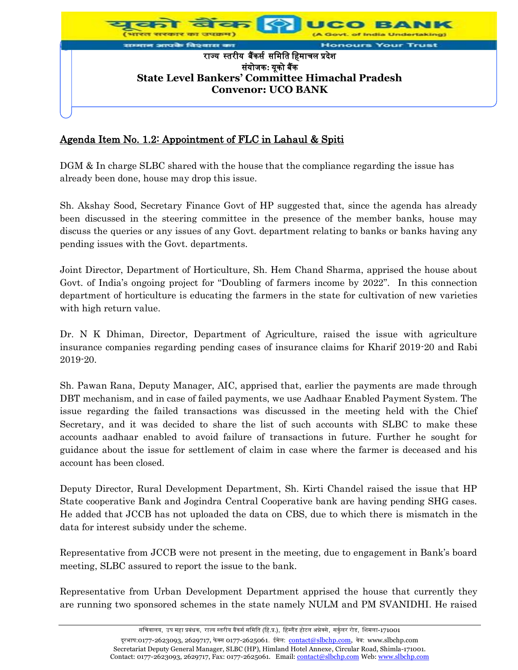

## Agenda Item No. 1.2: Appointment of FLC in Lahaul & Spiti

DGM & In charge SLBC shared with the house that the compliance regarding the issue has already been done, house may drop this issue.

Sh. Akshay Sood, Secretary Finance Govt of HP suggested that, since the agenda has already been discussed in the steering committee in the presence of the member banks, house may discuss the queries or any issues of any Govt. department relating to banks or banks having any pending issues with the Govt. departments.

Joint Director, Department of Horticulture, Sh. Hem Chand Sharma, apprised the house about Govt. of India's ongoing project for "Doubling of farmers income by 2022". In this connection department of horticulture is educating the farmers in the state for cultivation of new varieties with high return value.

Dr. N K Dhiman, Director, Department of Agriculture, raised the issue with agriculture insurance companies regarding pending cases of insurance claims for Kharif 2019-20 and Rabi 2019-20.

Sh. Pawan Rana, Deputy Manager, AIC, apprised that, earlier the payments are made through DBT mechanism, and in case of failed payments, we use Aadhaar Enabled Payment System. The issue regarding the failed transactions was discussed in the meeting held with the Chief Secretary, and it was decided to share the list of such accounts with SLBC to make these accounts aadhaar enabled to avoid failure of transactions in future. Further he sought for guidance about the issue for settlement of claim in case where the farmer is deceased and his account has been closed.

Deputy Director, Rural Development Department, Sh. Kirti Chandel raised the issue that HP State cooperative Bank and Jogindra Central Cooperative bank are having pending SHG cases. He added that JCCB has not uploaded the data on CBS, due to which there is mismatch in the data for interest subsidy under the scheme.

Representative from JCCB were not present in the meeting, due to engagement in Bank's board meeting, SLBC assured to report the issue to the bank.

Representative from Urban Development Department apprised the house that currently they are running two sponsored schemes in the state namely NULM and PM SVANIDHI. He raised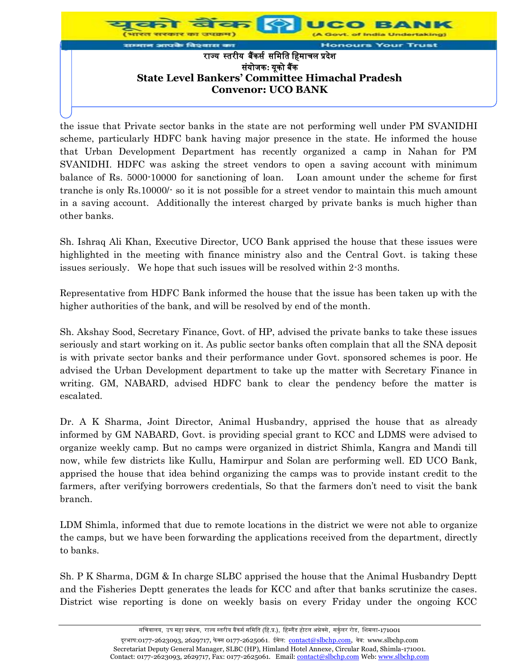

the issue that Private sector banks in the state are not performing well under PM SVANIDHI scheme, particularly HDFC bank having major presence in the state. He informed the house that Urban Development Department has recently organized a camp in Nahan for PM SVANIDHI. HDFC was asking the street vendors to open a saving account with minimum balance of Rs. 5000-10000 for sanctioning of loan. Loan amount under the scheme for first tranche is only Rs.10000/- so it is not possible for a street vendor to maintain this much amount in a saving account. Additionally the interest charged by private banks is much higher than other banks.

Sh. Ishraq Ali Khan, Executive Director, UCO Bank apprised the house that these issues were highlighted in the meeting with finance ministry also and the Central Govt. is taking these issues seriously. We hope that such issues will be resolved within 2-3 months.

Representative from HDFC Bank informed the house that the issue has been taken up with the higher authorities of the bank, and will be resolved by end of the month.

Sh. Akshay Sood, Secretary Finance, Govt. of HP, advised the private banks to take these issues seriously and start working on it. As public sector banks often complain that all the SNA deposit is with private sector banks and their performance under Govt. sponsored schemes is poor. He advised the Urban Development department to take up the matter with Secretary Finance in writing. GM, NABARD, advised HDFC bank to clear the pendency before the matter is escalated.

Dr. A K Sharma, Joint Director, Animal Husbandry, apprised the house that as already informed by GM NABARD, Govt. is providing special grant to KCC and LDMS were advised to organize weekly camp. But no camps were organized in district Shimla, Kangra and Mandi till now, while few districts like Kullu, Hamirpur and Solan are performing well. ED UCO Bank, apprised the house that idea behind organizing the camps was to provide instant credit to the farmers, after verifying borrowers credentials, So that the farmers don't need to visit the bank branch.

LDM Shimla, informed that due to remote locations in the district we were not able to organize the camps, but we have been forwarding the applications received from the department, directly to banks.

Sh. P K Sharma, DGM & In charge SLBC apprised the house that the Animal Husbandry Deptt and the Fisheries Deptt generates the leads for KCC and after that banks scrutinize the cases. District wise reporting is done on weekly basis on every Friday under the ongoing KCC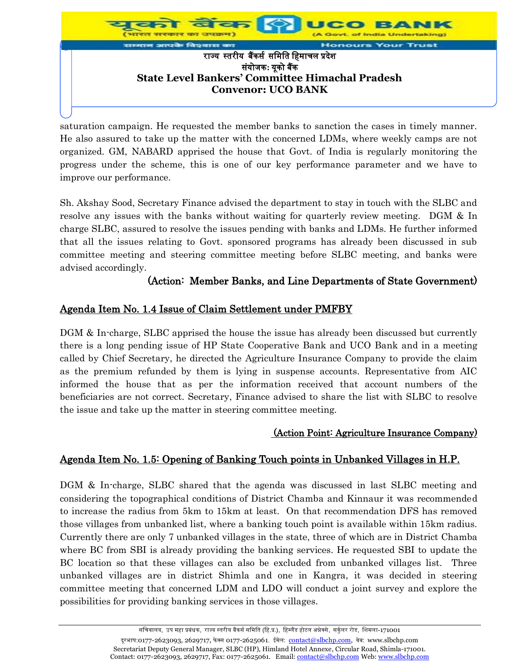

saturation campaign. He requested the member banks to sanction the cases in timely manner. He also assured to take up the matter with the concerned LDMs, where weekly camps are not organized. GM, NABARD apprised the house that Govt. of India is regularly monitoring the progress under the scheme, this is one of our key performance parameter and we have to improve our performance.

Sh. Akshay Sood, Secretary Finance advised the department to stay in touch with the SLBC and resolve any issues with the banks without waiting for quarterly review meeting. DGM & In charge SLBC, assured to resolve the issues pending with banks and LDMs. He further informed that all the issues relating to Govt. sponsored programs has already been discussed in sub committee meeting and steering committee meeting before SLBC meeting, and banks were advised accordingly.

## (Action: Member Banks, and Line Departments of State Government)

## Agenda Item No. 1.4 Issue of Claim Settlement under PMFBY

DGM & In-charge, SLBC apprised the house the issue has already been discussed but currently there is a long pending issue of HP State Cooperative Bank and UCO Bank and in a meeting called by Chief Secretary, he directed the Agriculture Insurance Company to provide the claim as the premium refunded by them is lying in suspense accounts. Representative from AIC informed the house that as per the information received that account numbers of the beneficiaries are not correct. Secretary, Finance advised to share the list with SLBC to resolve the issue and take up the matter in steering committee meeting.

#### (Action Point: Agriculture Insurance Company)

## Agenda Item No. 1.5: Opening of Banking Touch points in Unbanked Villages in H.P.

DGM & In-charge, SLBC shared that the agenda was discussed in last SLBC meeting and considering the topographical conditions of District Chamba and Kinnaur it was recommended to increase the radius from 5km to 15km at least. On that recommendation DFS has removed those villages from unbanked list, where a banking touch point is available within 15km radius. Currently there are only 7 unbanked villages in the state, three of which are in District Chamba where BC from SBI is already providing the banking services. He requested SBI to update the BC location so that these villages can also be excluded from unbanked villages list. Three unbanked villages are in district Shimla and one in Kangra, it was decided in steering committee meeting that concerned LDM and LDO will conduct a joint survey and explore the possibilities for providing banking services in those villages.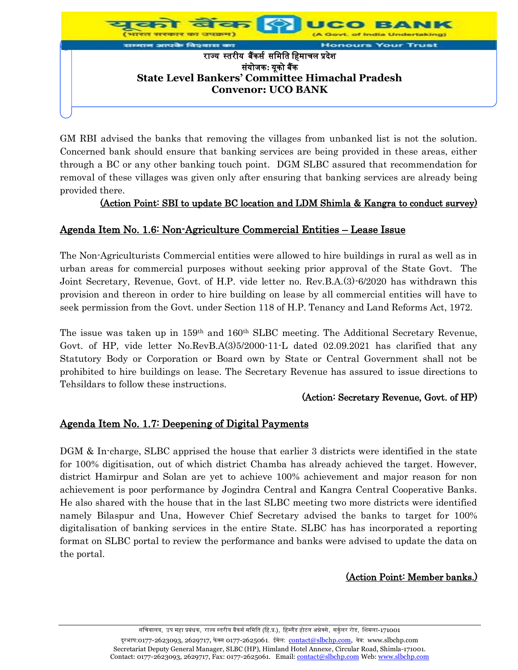

GM RBI advised the banks that removing the villages from unbanked list is not the solution. Concerned bank should ensure that banking services are being provided in these areas, either through a BC or any other banking touch point. DGM SLBC assured that recommendation for removal of these villages was given only after ensuring that banking services are already being provided there.

## (Action Point: SBI to update BC location and LDM Shimla & Kangra to conduct survey)

## Agenda Item No. 1.6: Non-Agriculture Commercial Entities – Lease Issue

The Non-Agriculturists Commercial entities were allowed to hire buildings in rural as well as in urban areas for commercial purposes without seeking prior approval of the State Govt. The Joint Secretary, Revenue, Govt. of H.P. vide letter no. Rev.B.A.(3)-6/2020 has withdrawn this provision and thereon in order to hire building on lease by all commercial entities will have to seek permission from the Govt. under Section 118 of H.P. Tenancy and Land Reforms Act, 1972.

The issue was taken up in 159<sup>th</sup> and 160<sup>th</sup> SLBC meeting. The Additional Secretary Revenue, Govt. of HP, vide letter No.RevB.A(3)5/2000-11-L dated 02.09.2021 has clarified that any Statutory Body or Corporation or Board own by State or Central Government shall not be prohibited to hire buildings on lease. The Secretary Revenue has assured to issue directions to Tehsildars to follow these instructions.

## (Action: Secretary Revenue, Govt. of HP)

## Agenda Item No. 1.7: Deepening of Digital Payments

DGM & In-charge, SLBC apprised the house that earlier 3 districts were identified in the state for 100% digitisation, out of which district Chamba has already achieved the target. However, district Hamirpur and Solan are yet to achieve 100% achievement and major reason for non achievement is poor performance by Jogindra Central and Kangra Central Cooperative Banks. He also shared with the house that in the last SLBC meeting two more districts were identified namely Bilaspur and Una, However Chief Secretary advised the banks to target for 100% digitalisation of banking services in the entire State. SLBC has has incorporated a reporting format on SLBC portal to review the performance and banks were advised to update the data on the portal.

## (Action Point: Member banks.)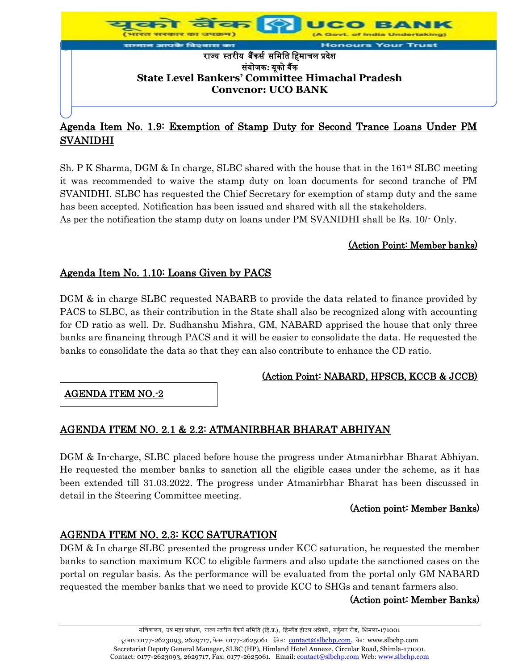

## Agenda Item No. 1.9: Exemption of Stamp Duty for Second Trance Loans Under PM SVANIDHI

Sh. P K Sharma, DGM & In charge, SLBC shared with the house that in the  $161^{st}$  SLBC meeting it was recommended to waive the stamp duty on loan documents for second tranche of PM SVANIDHI. SLBC has requested the Chief Secretary for exemption of stamp duty and the same has been accepted. Notification has been issued and shared with all the stakeholders. As per the notification the stamp duty on loans under PM SVANIDHI shall be Rs. 10/- Only.

## (Action Point: Member banks)

## Agenda Item No. 1.10: Loans Given by PACS

DGM & in charge SLBC requested NABARB to provide the data related to finance provided by PACS to SLBC, as their contribution in the State shall also be recognized along with accounting for CD ratio as well. Dr. Sudhanshu Mishra, GM, NABARD apprised the house that only three banks are financing through PACS and it will be easier to consolidate the data. He requested the banks to consolidate the data so that they can also contribute to enhance the CD ratio.

## (Action Point: NABARD, HPSCB, KCCB & JCCB)

AGENDA ITEM NO.-2

## AGENDA ITEM NO. 2.1 & 2.2: ATMANIRBHAR BHARAT ABHIYAN

DGM & In-charge, SLBC placed before house the progress under Atmanirbhar Bharat Abhiyan. He requested the member banks to sanction all the eligible cases under the scheme, as it has been extended till 31.03.2022. The progress under Atmanirbhar Bharat has been discussed in detail in the Steering Committee meeting.

#### (Action point: Member Banks)

## AGENDA ITEM NO. 2.3: KCC SATURATION

DGM & In charge SLBC presented the progress under KCC saturation, he requested the member banks to sanction maximum KCC to eligible farmers and also update the sanctioned cases on the portal on regular basis. As the performance will be evaluated from the portal only GM NABARD requested the member banks that we need to provide KCC to SHGs and tenant farmers also.

#### (Action point: Member Banks)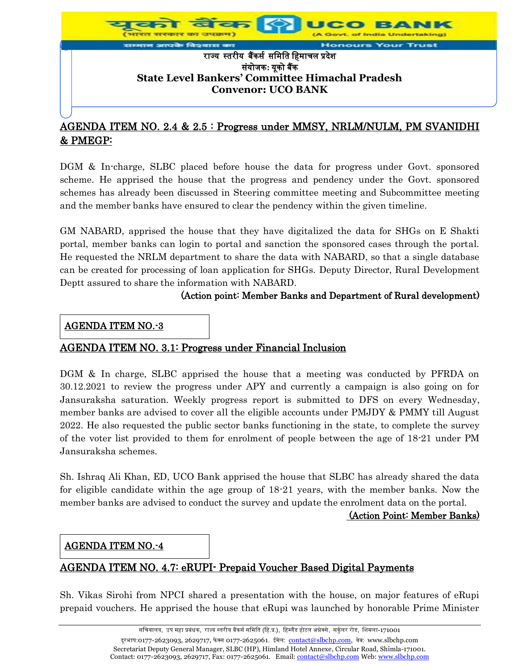

## AGENDA ITEM NO. 2.4 & 2.5 : Progress under MMSY, NRLM/NULM, PM SVANIDHI & PMEGP:

DGM & In-charge, SLBC placed before house the data for progress under Govt. sponsored scheme. He apprised the house that the progress and pendency under the Govt. sponsored schemes has already been discussed in Steering committee meeting and Subcommittee meeting and the member banks have ensured to clear the pendency within the given timeline.

GM NABARD, apprised the house that they have digitalized the data for SHGs on E Shakti portal, member banks can login to portal and sanction the sponsored cases through the portal. He requested the NRLM department to share the data with NABARD, so that a single database can be created for processing of loan application for SHGs. Deputy Director, Rural Development Deptt assured to share the information with NABARD.

### (Action point: Member Banks and Department of Rural development)

### AGENDA ITEM NO.-3

## AGENDA ITEM NO. 3.1: Progress under Financial Inclusion

DGM & In charge, SLBC apprised the house that a meeting was conducted by PFRDA on 30.12.2021 to review the progress under APY and currently a campaign is also going on for Jansuraksha saturation. Weekly progress report is submitted to DFS on every Wednesday, member banks are advised to cover all the eligible accounts under PMJDY & PMMY till August 2022. He also requested the public sector banks functioning in the state, to complete the survey of the voter list provided to them for enrolment of people between the age of 18-21 under PM Jansuraksha schemes.

Sh. Ishraq Ali Khan, ED, UCO Bank apprised the house that SLBC has already shared the data for eligible candidate within the age group of 18-21 years, with the member banks. Now the member banks are advised to conduct the survey and update the enrolment data on the portal.

#### (Action Point: Member Banks)

## AGENDA ITEM NO.-4

## AGENDA ITEM NO. 4.7: eRUPI- Prepaid Voucher Based Digital Payments

Sh. Vikas Sirohi from NPCI shared a presentation with the house, on major features of eRupi prepaid vouchers. He apprised the house that eRupi was launched by honorable Prime Minister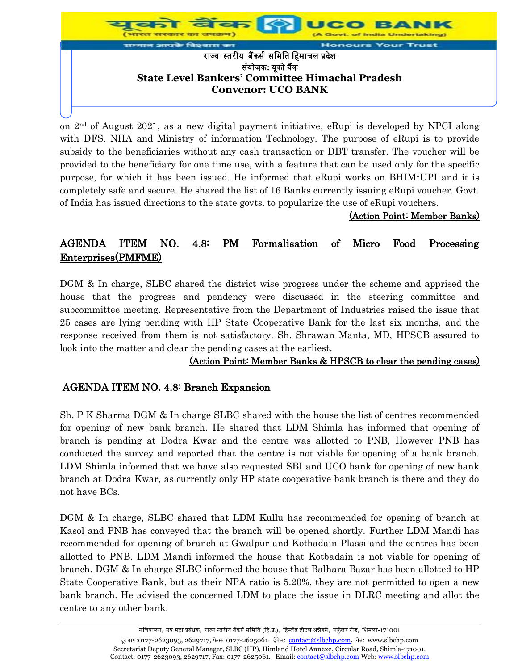

on  $2<sup>nd</sup>$  of August 2021, as a new digital payment initiative, eRupi is developed by NPCI along with DFS, NHA and Ministry of information Technology. The purpose of eRupi is to provide subsidy to the beneficiaries without any cash transaction or DBT transfer. The voucher will be provided to the beneficiary for one time use, with a feature that can be used only for the specific purpose, for which it has been issued. He informed that eRupi works on BHIM-UPI and it is completely safe and secure. He shared the list of 16 Banks currently issuing eRupi voucher. Govt. of India has issued directions to the state govts. to popularize the use of eRupi vouchers.

### (Action Point: Member Banks)

# AGENDA ITEM NO. 4.8: PM Formalisation of Micro Food Processing Enterprises(PMFME)

DGM & In charge, SLBC shared the district wise progress under the scheme and apprised the house that the progress and pendency were discussed in the steering committee and subcommittee meeting. Representative from the Department of Industries raised the issue that 25 cases are lying pending with HP State Cooperative Bank for the last six months, and the response received from them is not satisfactory. Sh. Shrawan Manta, MD, HPSCB assured to look into the matter and clear the pending cases at the earliest.

#### (Action Point: Member Banks & HPSCB to clear the pending cases)

## AGENDA ITEM NO. 4.8: Branch Expansion

Sh. P K Sharma DGM & In charge SLBC shared with the house the list of centres recommended for opening of new bank branch. He shared that LDM Shimla has informed that opening of branch is pending at Dodra Kwar and the centre was allotted to PNB, However PNB has conducted the survey and reported that the centre is not viable for opening of a bank branch. LDM Shimla informed that we have also requested SBI and UCO bank for opening of new bank branch at Dodra Kwar, as currently only HP state cooperative bank branch is there and they do not have BCs.

DGM & In charge, SLBC shared that LDM Kullu has recommended for opening of branch at Kasol and PNB has conveyed that the branch will be opened shortly. Further LDM Mandi has recommended for opening of branch at Gwalpur and Kotbadain Plassi and the centres has been allotted to PNB. LDM Mandi informed the house that Kotbadain is not viable for opening of branch. DGM & In charge SLBC informed the house that Balhara Bazar has been allotted to HP State Cooperative Bank, but as their NPA ratio is 5.20%, they are not permitted to open a new bank branch. He advised the concerned LDM to place the issue in DLRC meeting and allot the centre to any other bank.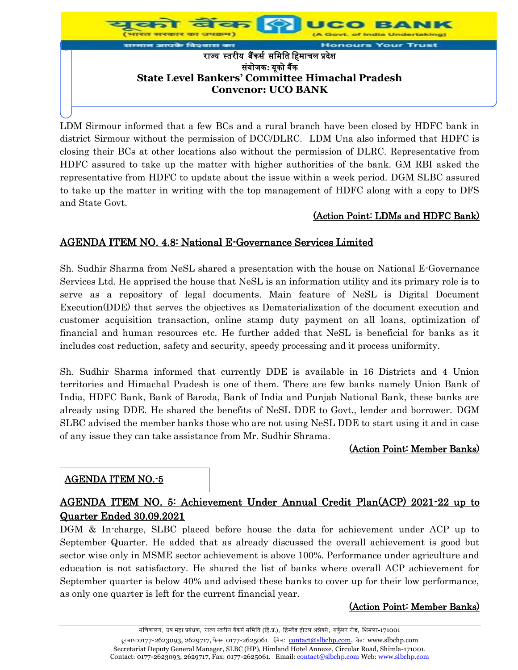

LDM Sirmour informed that a few BCs and a rural branch have been closed by HDFC bank in district Sirmour without the permission of DCC/DLRC. LDM Una also informed that HDFC is closing their BCs at other locations also without the permission of DLRC. Representative from HDFC assured to take up the matter with higher authorities of the bank. GM RBI asked the representative from HDFC to update about the issue within a week period. DGM SLBC assured to take up the matter in writing with the top management of HDFC along with a copy to DFS and State Govt.

### (Action Point: LDMs and HDFC Bank)

## AGENDA ITEM NO. 4.8: National E-Governance Services Limited

Sh. Sudhir Sharma from NeSL shared a presentation with the house on National E-Governance Services Ltd. He apprised the house that NeSL is an information utility and its primary role is to serve as a repository of legal documents. Main feature of NeSL is Digital Document Execution(DDE) that serves the objectives as Dematerialization of the document execution and customer acquisition transaction, online stamp duty payment on all loans, optimization of financial and human resources etc. He further added that NeSL is beneficial for banks as it includes cost reduction, safety and security, speedy processing and it process uniformity.

Sh. Sudhir Sharma informed that currently DDE is available in 16 Districts and 4 Union territories and Himachal Pradesh is one of them. There are few banks namely Union Bank of India, HDFC Bank, Bank of Baroda, Bank of India and Punjab National Bank, these banks are already using DDE. He shared the benefits of NeSL DDE to Govt., lender and borrower. DGM SLBC advised the member banks those who are not using NeSL DDE to start using it and in case of any issue they can take assistance from Mr. Sudhir Shrama.

#### (Action Point: Member Banks)

#### AGENDA ITEM NO.-5

## AGENDA ITEM NO. 5: Achievement Under Annual Credit Plan(ACP) 2021-22 up to Quarter Ended 30.09.2021

DGM & In-charge, SLBC placed before house the data for achievement under ACP up to September Quarter. He added that as already discussed the overall achievement is good but sector wise only in MSME sector achievement is above 100%. Performance under agriculture and education is not satisfactory. He shared the list of banks where overall ACP achievement for September quarter is below 40% and advised these banks to cover up for their low performance, as only one quarter is left for the current financial year.

#### (Action Point: Member Banks)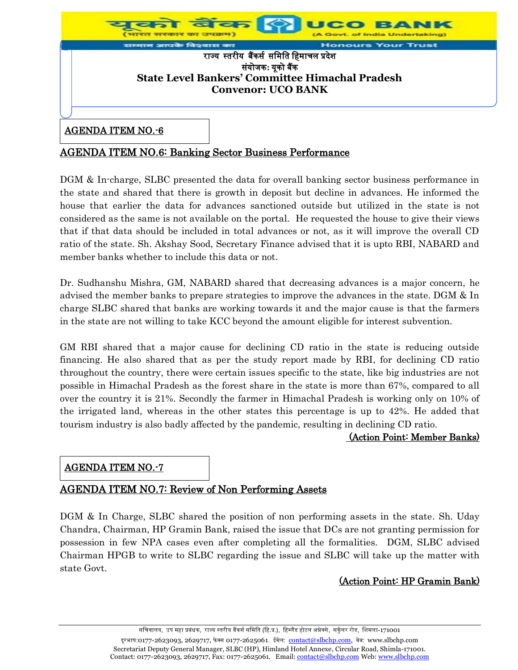

## AGENDA ITEM NO.6: Banking Sector Business Performance

DGM & In-charge, SLBC presented the data for overall banking sector business performance in the state and shared that there is growth in deposit but decline in advances. He informed the house that earlier the data for advances sanctioned outside but utilized in the state is not considered as the same is not available on the portal. He requested the house to give their views that if that data should be included in total advances or not, as it will improve the overall CD ratio of the state. Sh. Akshay Sood, Secretary Finance advised that it is upto RBI, NABARD and member banks whether to include this data or not.

Dr. Sudhanshu Mishra, GM, NABARD shared that decreasing advances is a major concern, he advised the member banks to prepare strategies to improve the advances in the state. DGM & In charge SLBC shared that banks are working towards it and the major cause is that the farmers in the state are not willing to take KCC beyond the amount eligible for interest subvention.

GM RBI shared that a major cause for declining CD ratio in the state is reducing outside financing. He also shared that as per the study report made by RBI, for declining CD ratio throughout the country, there were certain issues specific to the state, like big industries are not possible in Himachal Pradesh as the forest share in the state is more than 67%, compared to all over the country it is 21%. Secondly the farmer in Himachal Pradesh is working only on 10% of the irrigated land, whereas in the other states this percentage is up to 42%. He added that tourism industry is also badly affected by the pandemic, resulting in declining CD ratio.

#### (Action Point: Member Banks)

## AGENDA ITEM NO.-7

## AGENDA ITEM NO.7: Review of Non Performing Assets

DGM & In Charge, SLBC shared the position of non performing assets in the state. Sh. Uday Chandra, Chairman, HP Gramin Bank, raised the issue that DCs are not granting permission for possession in few NPA cases even after completing all the formalities. DGM, SLBC advised Chairman HPGB to write to SLBC regarding the issue and SLBC will take up the matter with state Govt.

## (Action Point: HP Gramin Bank)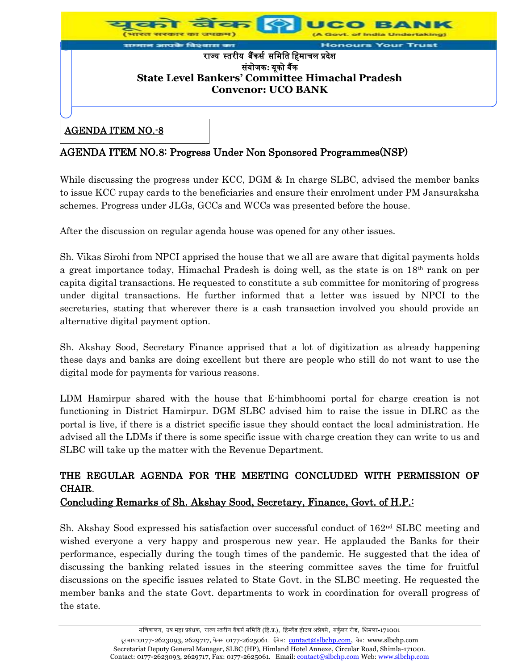

#### AGENDA ITEM NO.-8

## AGENDA ITEM NO.8: Progress Under Non Sponsored Programmes(NSP)

While discussing the progress under KCC, DGM & In charge SLBC, advised the member banks to issue KCC rupay cards to the beneficiaries and ensure their enrolment under PM Jansuraksha schemes. Progress under JLGs, GCCs and WCCs was presented before the house.

After the discussion on regular agenda house was opened for any other issues.

Sh. Vikas Sirohi from NPCI apprised the house that we all are aware that digital payments holds a great importance today, Himachal Pradesh is doing well, as the state is on 18th rank on per capita digital transactions. He requested to constitute a sub committee for monitoring of progress under digital transactions. He further informed that a letter was issued by NPCI to the secretaries, stating that wherever there is a cash transaction involved you should provide an alternative digital payment option.

Sh. Akshay Sood, Secretary Finance apprised that a lot of digitization as already happening these days and banks are doing excellent but there are people who still do not want to use the digital mode for payments for various reasons.

LDM Hamirpur shared with the house that E-himbhoomi portal for charge creation is not functioning in District Hamirpur. DGM SLBC advised him to raise the issue in DLRC as the portal is live, if there is a district specific issue they should contact the local administration. He advised all the LDMs if there is some specific issue with charge creation they can write to us and SLBC will take up the matter with the Revenue Department.

# THE REGULAR AGENDA FOR THE MEETING CONCLUDED WITH PERMISSION OF CHAIR.

## Concluding Remarks of Sh. Akshay Sood, Secretary, Finance, Govt. of H.P.:

Sh. Akshay Sood expressed his satisfaction over successful conduct of 162<sup>nd</sup> SLBC meeting and wished everyone a very happy and prosperous new year. He applauded the Banks for their performance, especially during the tough times of the pandemic. He suggested that the idea of discussing the banking related issues in the steering committee saves the time for fruitful discussions on the specific issues related to State Govt. in the SLBC meeting. He requested the member banks and the state Govt. departments to work in coordination for overall progress of the state.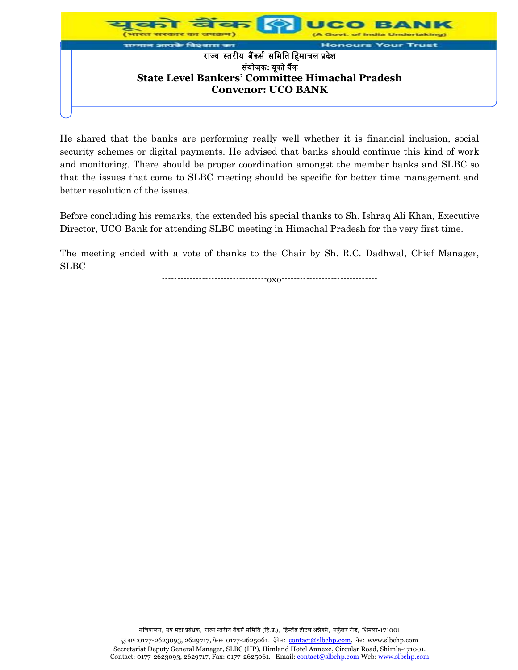

He shared that the banks are performing really well whether it is financial inclusion, social security schemes or digital payments. He advised that banks should continue this kind of work and monitoring. There should be proper coordination amongst the member banks and SLBC so that the issues that come to SLBC meeting should be specific for better time management and better resolution of the issues.

Before concluding his remarks, the extended his special thanks to Sh. Ishraq Ali Khan, Executive Director, UCO Bank for attending SLBC meeting in Himachal Pradesh for the very first time.

The meeting ended with a vote of thanks to the Chair by Sh. R.C. Dadhwal, Chief Manager, SLBC

----------------------------------oxo-------------------------------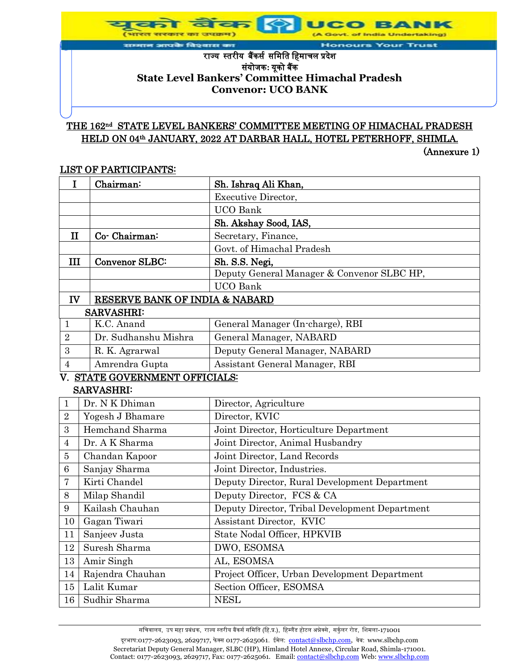of India Undertaking) **Honours Your Trust** 

### राज्यस्तरीयबैंकर्स र्मिमत मििाचल प्रदेश र्ंयोजक**:** यूको बैंक **State Level Bankers' Committee Himachal Pradesh Convenor: UCO BANK**

**उत्पादनमा** 

आपके विश्वास का

## THE 162<sup>nd</sup> STATE LEVEL BANKERS' COMMITTEE MEETING OF HIMACHAL PRADESH HELD ON 04th JANUARY, 2022 AT DARBAR HALL, HOTEL PETERHOFF, SHIMLA.

(Annexure 1)

#### LIST OF PARTICIPANTS:

| I                | Chairman:                      | Sh. Ishraq Ali Khan,                           |
|------------------|--------------------------------|------------------------------------------------|
|                  |                                | <b>Executive Director,</b>                     |
|                  |                                | <b>UCO</b> Bank                                |
|                  |                                | Sh. Akshay Sood, IAS,                          |
| $\mathbf{I}$     | Co-Chairman:                   | Secretary, Finance,                            |
|                  |                                | Govt. of Himachal Pradesh                      |
| III              | <b>Convenor SLBC:</b>          | Sh. S.S. Negi,                                 |
|                  |                                | Deputy General Manager & Convenor SLBC HP,     |
|                  |                                | <b>UCO</b> Bank                                |
| IV               | RESERVE BANK OF INDIA & NABARD |                                                |
|                  | <b>SARVASHRI:</b>              |                                                |
| 1                | K.C. Anand                     | General Manager (In-charge), RBI               |
| $\overline{2}$   | Dr. Sudhanshu Mishra           | General Manager, NABARD                        |
| $\boldsymbol{3}$ | R. K. Agrarwal                 | Deputy General Manager, NABARD                 |
| $\overline{4}$   | Amrendra Gupta                 | Assistant General Manager, RBI                 |
|                  | V. STATE GOVERNMENT OFFICIALS: |                                                |
|                  | <b>SARVASHRI:</b>              |                                                |
| $\mathbf{1}$     | Dr. N K Dhiman                 | Director, Agriculture                          |
| $\overline{2}$   | Yogesh J Bhamare               | Director, KVIC                                 |
| 3                | Hemchand Sharma                | Joint Director, Horticulture Department        |
| 4                | Dr. A K Sharma                 | Joint Director, Animal Husbandry               |
| 5                | Chandan Kapoor                 | Joint Director, Land Records                   |
| 6                | Sanjay Sharma                  | Joint Director, Industries.                    |
| 7                | Kirti Chandel                  | Deputy Director, Rural Development Department  |
| 8                | Milap Shandil                  | Deputy Director, FCS & CA                      |
| 9                | Kailash Chauhan                | Deputy Director, Tribal Development Department |
| 10               | Gagan Tiwari                   | Assistant Director, KVIC                       |
| 11               | Sanjeev Justa                  | State Nodal Officer, HPKVIB                    |
| 12               | Suresh Sharma                  | DWO, ESOMSA                                    |
| 13               | Amir Singh                     | AL, ESOMSA                                     |
| 14               | Rajendra Chauhan               | Project Officer, Urban Development Department  |
| 15               | Lalit Kumar                    | Section Officer, ESOMSA                        |
| 16               | Sudhir Sharma                  | <b>NESL</b>                                    |

सचिवालय, उप महा प्रबंधक, राज्य स्तरीय बैंकर्स समिति (हि.प्र.), हिम्लैंड होटल अन्नेक्से, सर्कुलर रोड, शिमला-171001 दूरभाष:0177-2623093, 2629717, फेक्स 0177-2625061. ईमेल: <u>contact@slbchp.com,</u> वेब: www.slbchp.com Secretariat Deputy General Manager, SLBC (HP), Himland Hotel Annexe, Circular Road, Shimla-171001. Contact: 0177-2623093, 2629717, Fax: 0177-2625061. Email: contact@slbchp.com Web: www.slbchp.com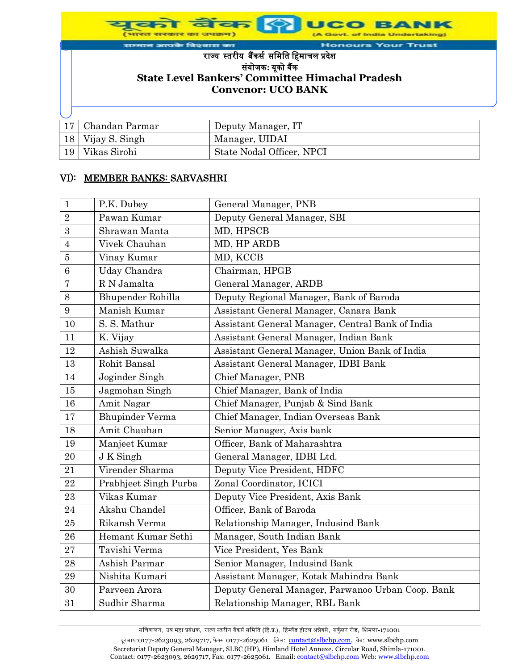विश्वास का Hor **Your Trust** राज्यस्तरीयबैंकर्स र्मिमत मििाचल प्रदेश र्ंयोजक**:** यूको बैंक **State Level Bankers' Committee Himachal Pradesh Convenor: UCO BANK** 17 Chandan Parmar Deputy Manager, IT 18 Vijay S. Singh Manager, UIDAI 19 Vikas Sirohi State Nodal Officer, NPCI

#### VI): MEMBER BANKS: SARVASHRI

| $\mathbf{1}$   | P.K. Dubey             | General Manager, PNB                              |
|----------------|------------------------|---------------------------------------------------|
| $\overline{2}$ | Pawan Kumar            | Deputy General Manager, SBI                       |
| 3              | Shrawan Manta          | MD, HPSCB                                         |
| $\overline{4}$ | Vivek Chauhan          | MD, HP ARDB                                       |
| $\overline{5}$ | Vinay Kumar            | MD, KCCB                                          |
| 6              | Uday Chandra           | Chairman, HPGB                                    |
| 7              | R N Jamalta            | General Manager, ARDB                             |
| 8              | Bhupender Rohilla      | Deputy Regional Manager, Bank of Baroda           |
| 9              | Manish Kumar           | Assistant General Manager, Canara Bank            |
| 10             | S. S. Mathur           | Assistant General Manager, Central Bank of India  |
| 11             | K. Vijay               | Assistant General Manager, Indian Bank            |
| 12             | Ashish Suwalka         | Assistant General Manager, Union Bank of India    |
| 13             | Rohit Bansal           | Assistant General Manager, IDBI Bank              |
| 14             | Joginder Singh         | Chief Manager, PNB                                |
| 15             | Jagmohan Singh         | Chief Manager, Bank of India                      |
| 16             | Amit Nagar             | Chief Manager, Punjab & Sind Bank                 |
| 17             | <b>Bhupinder Verma</b> | Chief Manager, Indian Overseas Bank               |
| 18             | Amit Chauhan           | Senior Manager, Axis bank                         |
| 19             | Manjeet Kumar          | Officer, Bank of Maharashtra                      |
| 20             | J K Singh              | General Manager, IDBI Ltd.                        |
| 21             | Virender Sharma        | Deputy Vice President, HDFC                       |
| 22             | Prabhjeet Singh Purba  | Zonal Coordinator, ICICI                          |
| 23             | Vikas Kumar            | Deputy Vice President, Axis Bank                  |
| 24             | Akshu Chandel          | Officer, Bank of Baroda                           |
| 25             | Rikansh Verma          | Relationship Manager, Indusind Bank               |
| 26             | Hemant Kumar Sethi     | Manager, South Indian Bank                        |
| 27             | Tavishi Verma          | Vice President, Yes Bank                          |
| 28             | Ashish Parmar          | Senior Manager, Indusind Bank                     |
| 29             | Nishita Kumari         | Assistant Manager, Kotak Mahindra Bank            |
| 30             | Parveen Arora          | Deputy General Manager, Parwanoo Urban Coop. Bank |
| 31             | Sudhir Sharma          | Relationship Manager, RBL Bank                    |

सचिवालय, उप महा प्रबंधक, राज्य स्तरीय बैंकर्स समिति (हि.प्र.), हिम्लैंड होटल अन्नेक्से, सर्कुलर रोड, शिमला-171001 दूरभाष:0177-2623093, 2629717, फेक्स 0177-2625061. ईमेल: contact@slbchp.com, वेब: www.slbchp.com Secretariat Deputy General Manager, SLBC (HP), Himland Hotel Annexe, Circular Road, Shimla-171001. Contact: 0177-2623093, 2629717, Fax: 0177-2625061. Email: contact@slbchp.com Web: www.slbchp.com